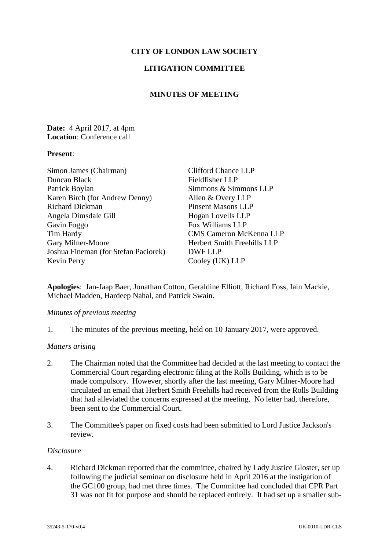# **CITY OF LONDON LAW SOCIETY**

# **LITIGATION COMMITTEE**

# **MINUTES OF MEETING**

## **Date:** 4 April 2017, at 4pm **Location**: Conference call

### **Present**:

| Simon James (Chairman)               | <b>Clifford Chance LLP</b>         |
|--------------------------------------|------------------------------------|
| Duncan Black                         | Fieldfisher LLP                    |
| Patrick Boylan                       | Simmons & Simmons LLP              |
| Karen Birch (for Andrew Denny)       | Allen & Overy LLP                  |
| <b>Richard Dickman</b>               | <b>Pinsent Masons LLP</b>          |
| Angela Dimsdale Gill                 | Hogan Lovells LLP                  |
| Gavin Foggo                          | Fox Williams LLP                   |
| Tim Hardy                            | <b>CMS Cameron McKenna LLP</b>     |
| Gary Milner-Moore                    | <b>Herbert Smith Freehills LLP</b> |
| Joshua Fineman (for Stefan Paciorek) | DWF LLP                            |
| <b>Kevin Perry</b>                   | Cooley (UK) LLP                    |

**Apologies**: Jan-Jaap Baer, Jonathan Cotton, Geraldine Elliott, Richard Foss, Iain Mackie, Michael Madden, Hardeep Nahal, and Patrick Swain.

#### *Minutes of previous meeting*

1. The minutes of the previous meeting, held on 10 January 2017, were approved.

#### *Matters arising*

- 2. The Chairman noted that the Committee had decided at the last meeting to contact the Commercial Court regarding electronic filing at the Rolls Building, which is to be made compulsory. However, shortly after the last meeting, Gary Milner-Moore had circulated an email that Herbert Smith Freehills had received from the Rolls Building that had alleviated the concerns expressed at the meeting. No letter had, therefore, been sent to the Commercial Court.
- 3. The Committee's paper on fixed costs had been submitted to Lord Justice Jackson's review.

### *Disclosure*

4. Richard Dickman reported that the committee, chaired by Lady Justice Gloster, set up following the judicial seminar on disclosure held in April 2016 at the instigation of the GC100 group, had met three times. The Committee had concluded that CPR Part 31 was not fit for purpose and should be replaced entirely. It had set up a smaller sub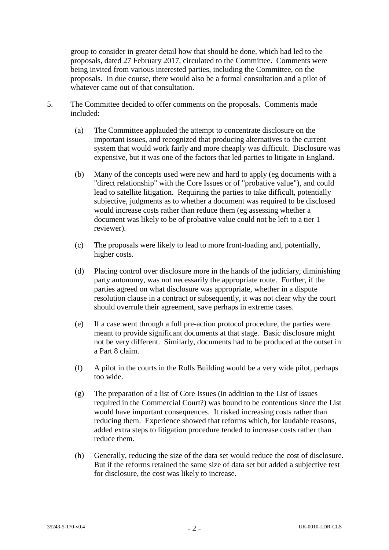group to consider in greater detail how that should be done, which had led to the proposals, dated 27 February 2017, circulated to the Committee. Comments were being invited from various interested parties, including the Committee, on the proposals. In due course, there would also be a formal consultation and a pilot of whatever came out of that consultation.

- 5. The Committee decided to offer comments on the proposals. Comments made included:
	- (a) The Committee applauded the attempt to concentrate disclosure on the important issues, and recognized that producing alternatives to the current system that would work fairly and more cheaply was difficult. Disclosure was expensive, but it was one of the factors that led parties to litigate in England.
	- (b) Many of the concepts used were new and hard to apply (eg documents with a "direct relationship" with the Core Issues or of "probative value"), and could lead to satellite litigation. Requiring the parties to take difficult, potentially subjective, judgments as to whether a document was required to be disclosed would increase costs rather than reduce them (eg assessing whether a document was likely to be of probative value could not be left to a tier 1 reviewer).
	- (c) The proposals were likely to lead to more front-loading and, potentially, higher costs.
	- (d) Placing control over disclosure more in the hands of the judiciary, diminishing party autonomy, was not necessarily the appropriate route. Further, if the parties agreed on what disclosure was appropriate, whether in a dispute resolution clause in a contract or subsequently, it was not clear why the court should overrule their agreement, save perhaps in extreme cases.
	- (e) If a case went through a full pre-action protocol procedure, the parties were meant to provide significant documents at that stage. Basic disclosure might not be very different. Similarly, documents had to be produced at the outset in a Part 8 claim.
	- (f) A pilot in the courts in the Rolls Building would be a very wide pilot, perhaps too wide.
	- (g) The preparation of a list of Core Issues (in addition to the List of Issues required in the Commercial Court?) was bound to be contentious since the List would have important consequences. It risked increasing costs rather than reducing them. Experience showed that reforms which, for laudable reasons, added extra steps to litigation procedure tended to increase costs rather than reduce them.
	- (h) Generally, reducing the size of the data set would reduce the cost of disclosure. But if the reforms retained the same size of data set but added a subjective test for disclosure, the cost was likely to increase.